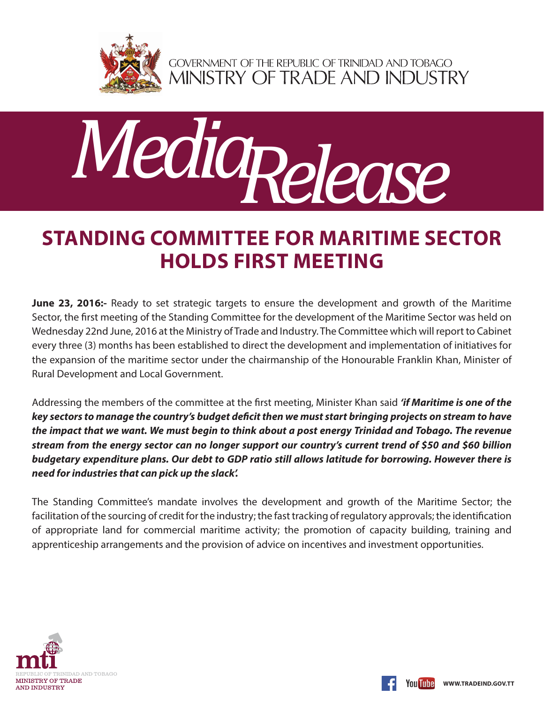

GOVERNMENT OF THE REPUBLIC OF TRINIDAD AND TOBAGO<br>MINISTRY OF TRADE AND INDUSTRY



## **STANDING COMMITTEE FOR MARITIME SECTOR HOLDS FIRST MEETING**

**June 23, 2016:-** Ready to set strategic targets to ensure the development and growth of the Maritime Sector, the first meeting of the Standing Committee for the development of the Maritime Sector was held on Wednesday 22nd June, 2016 at the Ministry of Trade and Industry. The Committee which will report to Cabinet every three (3) months has been established to direct the development and implementation of initiatives for the expansion of the maritime sector under the chairmanship of the Honourable Franklin Khan, Minister of Rural Development and Local Government.

Addressing the members of the committee at the first meeting, Minister Khan said *'if Maritime is one of the key sectors to manage the country's budget deficit then we must start bringing projects on stream to have the impact that we want. We must begin to think about a post energy Trinidad and Tobago. The revenue stream from the energy sector can no longer support our country's current trend of \$50 and \$60 billion budgetary expenditure plans. Our debt to GDP ratio still allows latitude for borrowing. However there is need for industries that can pick up the slack'.* 

The Standing Committee's mandate involves the development and growth of the Maritime Sector; the facilitation of the sourcing of credit for the industry; the fast tracking of regulatory approvals; the identification of appropriate land for commercial maritime activity; the promotion of capacity building, training and apprenticeship arrangements and the provision of advice on incentives and investment opportunities.